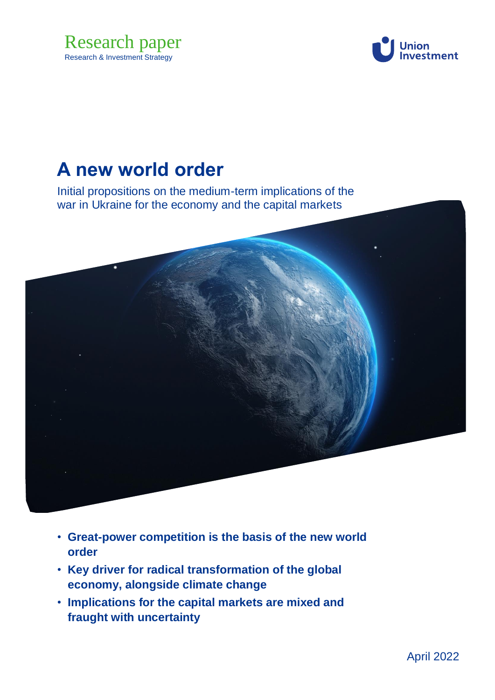



# **A new world order**

Initial propositions on the medium-term implications of the war in Ukraine for the economy and the capital markets



- **Great-power competition is the basis of the new world order**
- **Key driver for radical transformation of the global economy, alongside climate change**
- **Implications for the capital markets are mixed and fraught with uncertainty**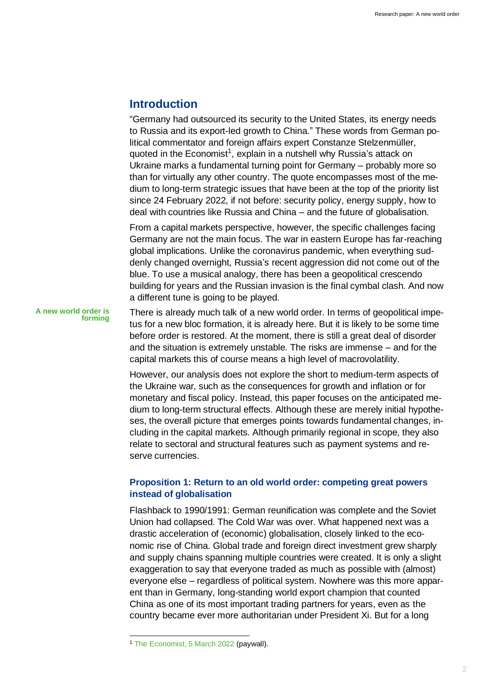# **Introduction**

"Germany had outsourced its security to the United States, its energy needs to Russia and its export-led growth to China." These words from German political commentator and foreign affairs expert Constanze Stelzenmüller, quoted in the Economist<sup>1</sup>, explain in a nutshell why Russia's attack on Ukraine marks a fundamental turning point for Germany – probably more so than for virtually any other country. The quote encompasses most of the medium to long-term strategic issues that have been at the top of the priority list since 24 February 2022, if not before: security policy, energy supply, how to deal with countries like Russia and China – and the future of globalisation.

From a capital markets perspective, however, the specific challenges facing Germany are not the main focus. The war in eastern Europe has far-reaching global implications. Unlike the coronavirus pandemic, when everything suddenly changed overnight, Russia's recent aggression did not come out of the blue. To use a musical analogy, there has been a geopolitical crescendo building for years and the Russian invasion is the final cymbal clash. And now a different tune is going to be played.

**A new world order is forming**

There is already much talk of a new world order. In terms of geopolitical impetus for a new bloc formation, it is already here. But it is likely to be some time before order is restored. At the moment, there is still a great deal of disorder and the situation is extremely unstable. The risks are immense – and for the capital markets this of course means a high level of macrovolatility.

However, our analysis does not explore the short to medium-term aspects of the Ukraine war, such as the consequences for growth and inflation or for monetary and fiscal policy. Instead, this paper focuses on the anticipated medium to long-term structural effects. Although these are merely initial hypotheses, the overall picture that emerges points towards fundamental changes, including in the capital markets. Although primarily regional in scope, they also relate to sectoral and structural features such as payment systems and reserve currencies.

# **Proposition 1: Return to an old world order: competing great powers instead of globalisation**

Flashback to 1990/1991: German reunification was complete and the Soviet Union had collapsed. The Cold War was over. What happened next was a drastic acceleration of (economic) globalisation, closely linked to the economic rise of China. Global trade and foreign direct investment grew sharply and supply chains spanning multiple countries were created. It is only a slight exaggeration to say that everyone traded as much as possible with (almost) everyone else – regardless of political system. Nowhere was this more apparent than in Germany, long-standing world export champion that counted China as one of its most important trading partners for years, even as the country became ever more authoritarian under President Xi. But for a long

<sup>1</sup> [The Economist, 5 March 2022](https://www.economist.com/briefing/2022/03/05/the-war-in-ukraine-is-going-to-change-geopolitics-profoundly) (paywall).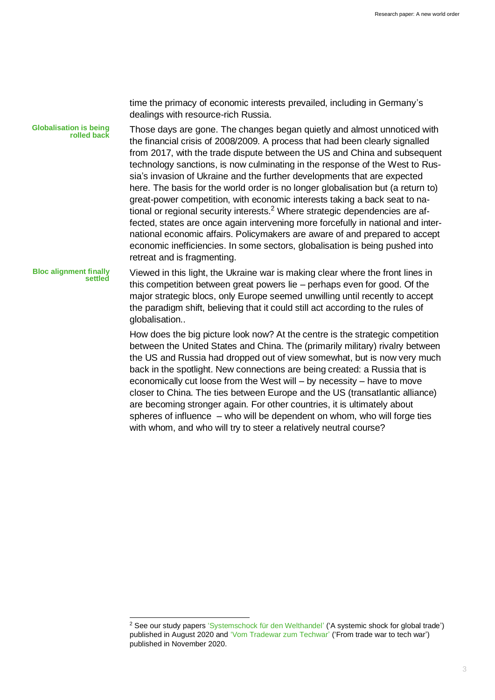time the primacy of economic interests prevailed, including in Germany's dealings with resource-rich Russia.

Those days are gone. The changes began quietly and almost unnoticed with the financial crisis of 2008/2009. A process that had been clearly signalled from 2017, with the trade dispute between the US and China and subsequent technology sanctions, is now culminating in the response of the West to Russia's invasion of Ukraine and the further developments that are expected here. The basis for the world order is no longer globalisation but (a return to) great-power competition, with economic interests taking a back seat to national or regional security interests.<sup>2</sup> Where strategic dependencies are affected, states are once again intervening more forcefully in national and international economic affairs. Policymakers are aware of and prepared to accept economic inefficiencies. In some sectors, globalisation is being pushed into retreat and is fragmenting. **Globalisation is being rolled back**

Viewed in this light, the Ukraine war is making clear where the front lines in this competition between great powers lie – perhaps even for good. Of the major strategic blocs, only Europe seemed unwilling until recently to accept the paradigm shift, believing that it could still act according to the rules of globalisation.. **Bloc alignment finally settled**

> How does the big picture look now? At the centre is the strategic competition between the United States and China. The (primarily military) rivalry between the US and Russia had dropped out of view somewhat, but is now very much back in the spotlight. New connections are being created: a Russia that is economically cut loose from the West will – by necessity – have to move closer to China. The ties between Europe and the US (transatlantic alliance) are becoming stronger again. For other countries, it is ultimately about spheres of influence – who will be dependent on whom, who will forge ties with whom, and who will try to steer a relatively neutral course?

<sup>2</sup> See our study papers ['Systemschock für den Welthandel'](https://institutional.union-investment.de/startseite-de/Kapitalmarkt/Themen_Systemschock_fuer_den_Welthandel.html) ('A systemic shock for global trade') published in August 2020 and ['Vom Tradewar zum Techwar'](https://institutional.union-investment.de/startseite-de/Kapitalmarkt/Themen_Vom_Tradewar_zum_Techwar.html) ('From trade war to tech war') published in November 2020.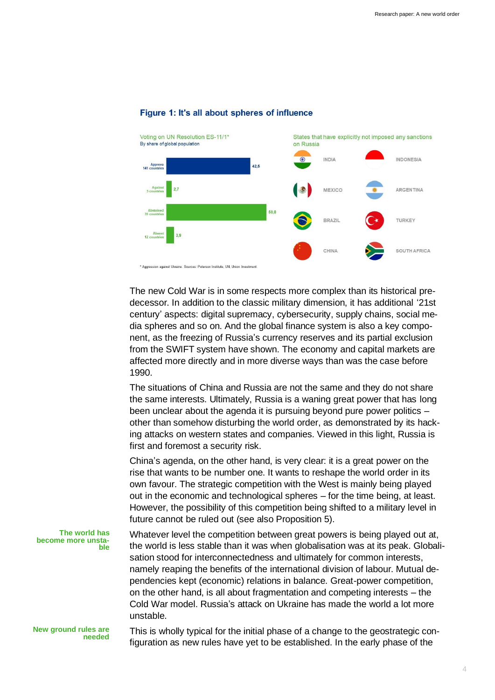

### Figure 1: It's all about spheres of influence

The new Cold War is in some respects more complex than its historical predecessor. In addition to the classic military dimension, it has additional '21st century' aspects: digital supremacy, cybersecurity, supply chains, social media spheres and so on. And the global finance system is also a key component, as the freezing of Russia's currency reserves and its partial exclusion from the SWIFT system have shown. The economy and capital markets are affected more directly and in more diverse ways than was the case before 1990.

The situations of China and Russia are not the same and they do not share the same interests. Ultimately, Russia is a waning great power that has long been unclear about the agenda it is pursuing beyond pure power politics – other than somehow disturbing the world order, as demonstrated by its hacking attacks on western states and companies. Viewed in this light, Russia is first and foremost a security risk.

China's agenda, on the other hand, is very clear: it is a great power on the rise that wants to be number one. It wants to reshape the world order in its own favour. The strategic competition with the West is mainly being played out in the economic and technological spheres – for the time being, at least. However, the possibility of this competition being shifted to a military level in future cannot be ruled out (see also Proposition 5).

**The world has become more unstable**

Whatever level the competition between great powers is being played out at, the world is less stable than it was when globalisation was at its peak. Globalisation stood for interconnectedness and ultimately for common interests, namely reaping the benefits of the international division of labour. Mutual dependencies kept (economic) relations in balance. Great-power competition, on the other hand, is all about fragmentation and competing interests – the Cold War model. Russia's attack on Ukraine has made the world a lot more unstable.

**New ground rules are needed** This is wholly typical for the initial phase of a change to the geostrategic configuration as new rules have yet to be established. In the early phase of the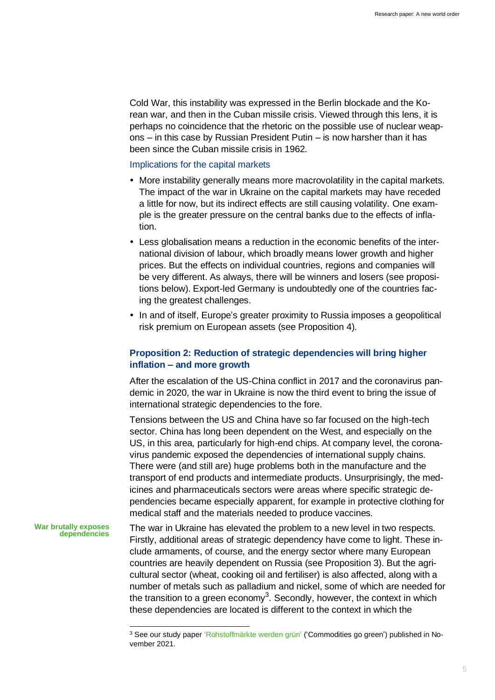Cold War, this instability was expressed in the Berlin blockade and the Korean war, and then in the Cuban missile crisis. Viewed through this lens, it is perhaps no coincidence that the rhetoric on the possible use of nuclear weapons – in this case by Russian President Putin – is now harsher than it has been since the Cuban missile crisis in 1962.

### Implications for the capital markets

- More instability generally means more macrovolatility in the capital markets. The impact of the war in Ukraine on the capital markets may have receded a little for now, but its indirect effects are still causing volatility. One example is the greater pressure on the central banks due to the effects of inflation.
- Less globalisation means a reduction in the economic benefits of the international division of labour, which broadly means lower growth and higher prices. But the effects on individual countries, regions and companies will be very different. As always, there will be winners and losers (see propositions below). Export-led Germany is undoubtedly one of the countries facing the greatest challenges.
- In and of itself, Europe's greater proximity to Russia imposes a geopolitical risk premium on European assets (see Proposition 4).

# **Proposition 2: Reduction of strategic dependencies will bring higher inflation – and more growth**

After the escalation of the US-China conflict in 2017 and the coronavirus pandemic in 2020, the war in Ukraine is now the third event to bring the issue of international strategic dependencies to the fore.

Tensions between the US and China have so far focused on the high-tech sector. China has long been dependent on the West, and especially on the US, in this area, particularly for high-end chips. At company level, the coronavirus pandemic exposed the dependencies of international supply chains. There were (and still are) huge problems both in the manufacture and the transport of end products and intermediate products. Unsurprisingly, the medicines and pharmaceuticals sectors were areas where specific strategic dependencies became especially apparent, for example in protective clothing for medical staff and the materials needed to produce vaccines.

#### **War brutally exposes dependencies**

The war in Ukraine has elevated the problem to a new level in two respects. Firstly, additional areas of strategic dependency have come to light. These include armaments, of course, and the energy sector where many European countries are heavily dependent on Russia (see Proposition 3). But the agricultural sector (wheat, cooking oil and fertiliser) is also affected, along with a number of metals such as palladium and nickel, some of which are needed for the transition to a green economy<sup>3</sup>. Secondly, however, the context in which these dependencies are located is different to the context in which the

<sup>3</sup> See our study pape[r 'Rohstoffmärkte werden grün'](https://institutional.union-investment.de/startseite-de/Kapitalmarkt/Themen_Rohstoffmaerkte_werden_gruen) ('Commodities go green') published in November 2021.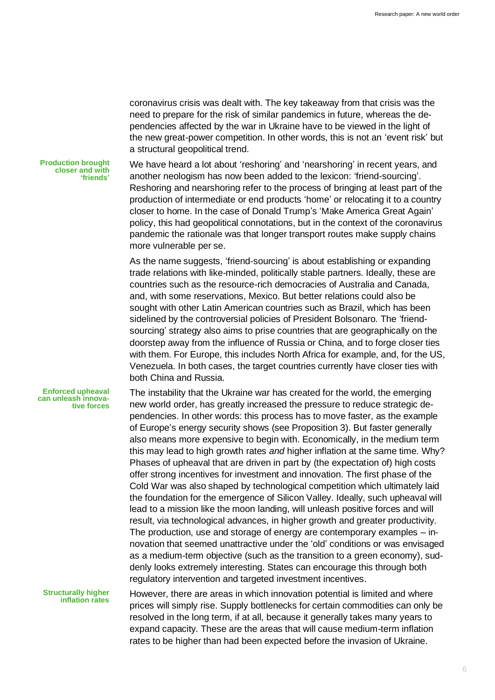coronavirus crisis was dealt with. The key takeaway from that crisis was the need to prepare for the risk of similar pandemics in future, whereas the dependencies affected by the war in Ukraine have to be viewed in the light of the new great-power competition. In other words, this is not an 'event risk' but a structural geopolitical trend.

**Production brought closer and with 'friends'** We have heard a lot about 'reshoring' and 'nearshoring' in recent years, and another neologism has now been added to the lexicon: 'friend-sourcing'. Reshoring and nearshoring refer to the process of bringing at least part of the production of intermediate or end products 'home' or relocating it to a country closer to home. In the case of Donald Trump's 'Make America Great Again' policy, this had geopolitical connotations, but in the context of the coronavirus pandemic the rationale was that longer transport routes make supply chains more vulnerable per se.

As the name suggests, 'friend-sourcing' is about establishing or expanding trade relations with like-minded, politically stable partners. Ideally, these are countries such as the resource-rich democracies of Australia and Canada, and, with some reservations, Mexico. But better relations could also be sought with other Latin American countries such as Brazil, which has been sidelined by the controversial policies of President Bolsonaro. The 'friendsourcing' strategy also aims to prise countries that are geographically on the doorstep away from the influence of Russia or China, and to forge closer ties with them. For Europe, this includes North Africa for example, and, for the US, Venezuela. In both cases, the target countries currently have closer ties with both China and Russia.

The instability that the Ukraine war has created for the world, the emerging new world order, has greatly increased the pressure to reduce strategic dependencies. In other words: this process has to move faster, as the example of Europe's energy security shows (see Proposition 3). But faster generally also means more expensive to begin with. Economically, in the medium term this may lead to high growth rates *and* higher inflation at the same time. Why? Phases of upheaval that are driven in part by (the expectation of) high costs offer strong incentives for investment and innovation. The first phase of the Cold War was also shaped by technological competition which ultimately laid the foundation for the emergence of Silicon Valley. Ideally, such upheaval will lead to a mission like the moon landing, will unleash positive forces and will result, via technological advances, in higher growth and greater productivity. The production, use and storage of energy are contemporary examples – innovation that seemed unattractive under the 'old' conditions or was envisaged as a medium-term objective (such as the transition to a green economy), suddenly looks extremely interesting. States can encourage this through both regulatory intervention and targeted investment incentives.

**Structurally higher inflation rates**

**Enforced upheaval can unleash innova-**

**tive forces**

However, there are areas in which innovation potential is limited and where prices will simply rise. Supply bottlenecks for certain commodities can only be resolved in the long term, if at all, because it generally takes many years to expand capacity. These are the areas that will cause medium-term inflation rates to be higher than had been expected before the invasion of Ukraine.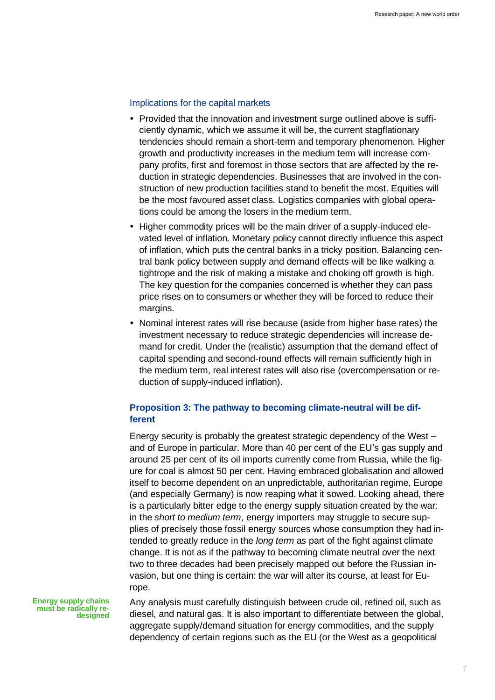### Implications for the capital markets

- Provided that the innovation and investment surge outlined above is sufficiently dynamic, which we assume it will be, the current stagflationary tendencies should remain a short-term and temporary phenomenon. Higher growth and productivity increases in the medium term will increase company profits, first and foremost in those sectors that are affected by the reduction in strategic dependencies. Businesses that are involved in the construction of new production facilities stand to benefit the most. Equities will be the most favoured asset class. Logistics companies with global operations could be among the losers in the medium term.
- Higher commodity prices will be the main driver of a supply-induced elevated level of inflation. Monetary policy cannot directly influence this aspect of inflation, which puts the central banks in a tricky position. Balancing central bank policy between supply and demand effects will be like walking a tightrope and the risk of making a mistake and choking off growth is high. The key question for the companies concerned is whether they can pass price rises on to consumers or whether they will be forced to reduce their margins.
- Nominal interest rates will rise because (aside from higher base rates) the investment necessary to reduce strategic dependencies will increase demand for credit. Under the (realistic) assumption that the demand effect of capital spending and second-round effects will remain sufficiently high in the medium term, real interest rates will also rise (overcompensation or reduction of supply-induced inflation).

# **Proposition 3: The pathway to becoming climate-neutral will be different**

Energy security is probably the greatest strategic dependency of the West – and of Europe in particular. More than 40 per cent of the EU's gas supply and around 25 per cent of its oil imports currently come from Russia, while the figure for coal is almost 50 per cent. Having embraced globalisation and allowed itself to become dependent on an unpredictable, authoritarian regime, Europe (and especially Germany) is now reaping what it sowed. Looking ahead, there is a particularly bitter edge to the energy supply situation created by the war: in the *short to medium term*, energy importers may struggle to secure supplies of precisely those fossil energy sources whose consumption they had intended to greatly reduce in the *long term* as part of the fight against climate change. It is not as if the pathway to becoming climate neutral over the next two to three decades had been precisely mapped out before the Russian invasion, but one thing is certain: the war will alter its course, at least for Europe.

**Energy supply chains must be radically redesigned**

Any analysis must carefully distinguish between crude oil, refined oil, such as diesel, and natural gas. It is also important to differentiate between the global, aggregate supply/demand situation for energy commodities, and the supply dependency of certain regions such as the EU (or the West as a geopolitical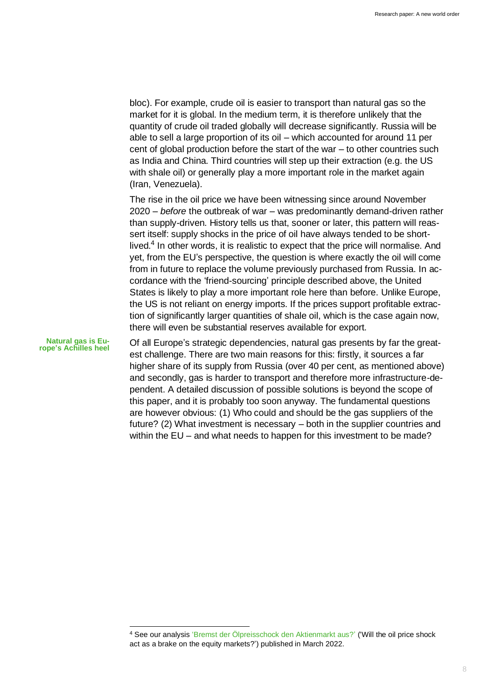bloc). For example, crude oil is easier to transport than natural gas so the market for it is global. In the medium term, it is therefore unlikely that the quantity of crude oil traded globally will decrease significantly. Russia will be able to sell a large proportion of its oil – which accounted for around 11 per cent of global production before the start of the war – to other countries such as India and China. Third countries will step up their extraction (e.g. the US with shale oil) or generally play a more important role in the market again (Iran, Venezuela).

The rise in the oil price we have been witnessing since around November 2020 – *before* the outbreak of war – was predominantly demand-driven rather than supply-driven. History tells us that, sooner or later, this pattern will reassert itself: supply shocks in the price of oil have always tended to be shortlived.<sup>4</sup> In other words, it is realistic to expect that the price will normalise. And yet, from the EU's perspective, the question is where exactly the oil will come from in future to replace the volume previously purchased from Russia. In accordance with the 'friend-sourcing' principle described above, the United States is likely to play a more important role here than before. Unlike Europe, the US is not reliant on energy imports. If the prices support profitable extraction of significantly larger quantities of shale oil, which is the case again now, there will even be substantial reserves available for export.

**Natural gas is Europe's Achilles heel**

Of all Europe's strategic dependencies, natural gas presents by far the greatest challenge. There are two main reasons for this: firstly, it sources a far higher share of its supply from Russia (over 40 per cent, as mentioned above) and secondly, gas is harder to transport and therefore more infrastructure-dependent. A detailed discussion of possible solutions is beyond the scope of this paper, and it is probably too soon anyway. The fundamental questions are however obvious: (1) Who could and should be the gas suppliers of the future? (2) What investment is necessary – both in the supplier countries and within the EU – and what needs to happen for this investment to be made?

<sup>4</sup> See our analysis ['Bremst der Ölpreisschock den Aktienmarkt aus?'](https://unternehmen.union-investment.de/startseite-unternehmen/maerkte/Kapitalmarktmeinungen/ab-2021/Analyse--Oelpreisschock0.html) ('Will the oil price shock act as a brake on the equity markets?') published in March 2022.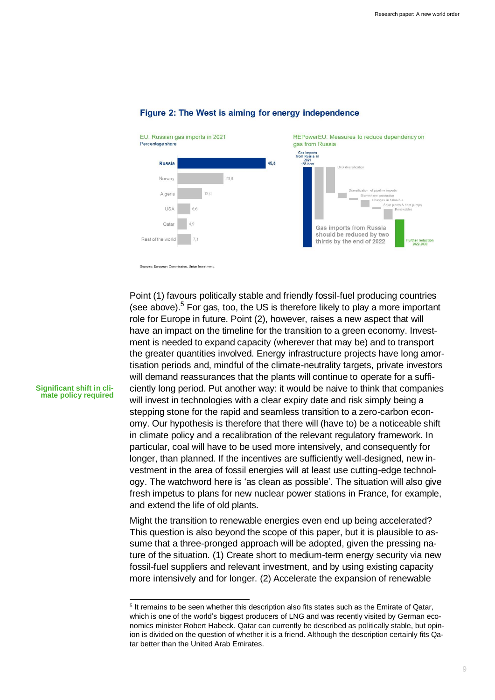

# Figure 2: The West is aiming for energy independence

Sources: European Commission, Union Investment

Point (1) favours politically stable and friendly fossil-fuel producing countries (see above). $5$  For gas, too, the US is therefore likely to play a more important role for Europe in future. Point (2), however, raises a new aspect that will have an impact on the timeline for the transition to a green economy. Investment is needed to expand capacity (wherever that may be) and to transport the greater quantities involved. Energy infrastructure projects have long amortisation periods and, mindful of the climate-neutrality targets, private investors will demand reassurances that the plants will continue to operate for a sufficiently long period. Put another way: it would be naive to think that companies will invest in technologies with a clear expiry date and risk simply being a stepping stone for the rapid and seamless transition to a zero-carbon economy. Our hypothesis is therefore that there will (have to) be a noticeable shift in climate policy and a recalibration of the relevant regulatory framework. In particular, coal will have to be used more intensively, and consequently for longer, than planned. If the incentives are sufficiently well-designed, new investment in the area of fossil energies will at least use cutting-edge technology. The watchword here is 'as clean as possible'. The situation will also give fresh impetus to plans for new nuclear power stations in France, for example, and extend the life of old plants.

Might the transition to renewable energies even end up being accelerated? This question is also beyond the scope of this paper, but it is plausible to assume that a three-pronged approach will be adopted, given the pressing nature of the situation. (1) Create short to medium-term energy security via new fossil-fuel suppliers and relevant investment, and by using existing capacity more intensively and for longer. (2) Accelerate the expansion of renewable

#### **Significant shift in climate policy required**

<sup>&</sup>lt;sup>5</sup> It remains to be seen whether this description also fits states such as the Emirate of Qatar, which is one of the world's biggest producers of LNG and was recently visited by German economics minister Robert Habeck. Qatar can currently be described as politically stable, but opinion is divided on the question of whether it is a friend. Although the description certainly fits Qatar better than the United Arab Emirates.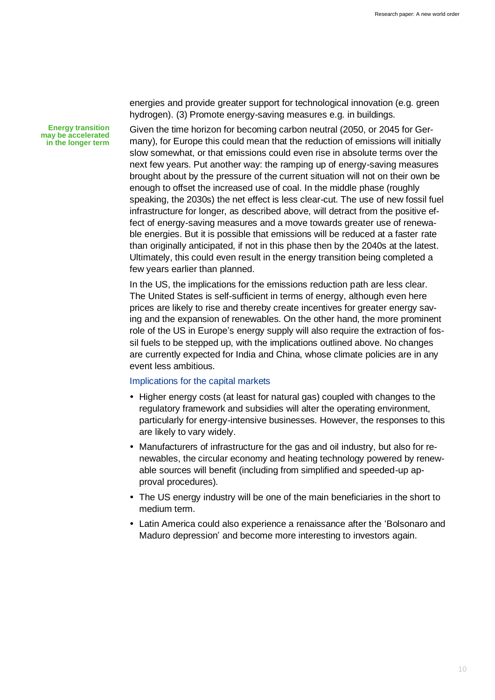**Energy transition may be accelerated in the longer term** energies and provide greater support for technological innovation (e.g. green hydrogen). (3) Promote energy-saving measures e.g. in buildings.

Given the time horizon for becoming carbon neutral (2050, or 2045 for Germany), for Europe this could mean that the reduction of emissions will initially slow somewhat, or that emissions could even rise in absolute terms over the next few years. Put another way: the ramping up of energy-saving measures brought about by the pressure of the current situation will not on their own be enough to offset the increased use of coal. In the middle phase (roughly speaking, the 2030s) the net effect is less clear-cut. The use of new fossil fuel infrastructure for longer, as described above, will detract from the positive effect of energy-saving measures and a move towards greater use of renewable energies. But it is possible that emissions will be reduced at a faster rate than originally anticipated, if not in this phase then by the 2040s at the latest. Ultimately, this could even result in the energy transition being completed a few years earlier than planned.

In the US, the implications for the emissions reduction path are less clear. The United States is self-sufficient in terms of energy, although even here prices are likely to rise and thereby create incentives for greater energy saving and the expansion of renewables. On the other hand, the more prominent role of the US in Europe's energy supply will also require the extraction of fossil fuels to be stepped up, with the implications outlined above. No changes are currently expected for India and China, whose climate policies are in any event less ambitious.

# Implications for the capital markets

- Higher energy costs (at least for natural gas) coupled with changes to the regulatory framework and subsidies will alter the operating environment, particularly for energy-intensive businesses. However, the responses to this are likely to vary widely.
- Manufacturers of infrastructure for the gas and oil industry, but also for renewables, the circular economy and heating technology powered by renewable sources will benefit (including from simplified and speeded-up approval procedures).
- The US energy industry will be one of the main beneficiaries in the short to medium term.
- Latin America could also experience a renaissance after the 'Bolsonaro and Maduro depression' and become more interesting to investors again.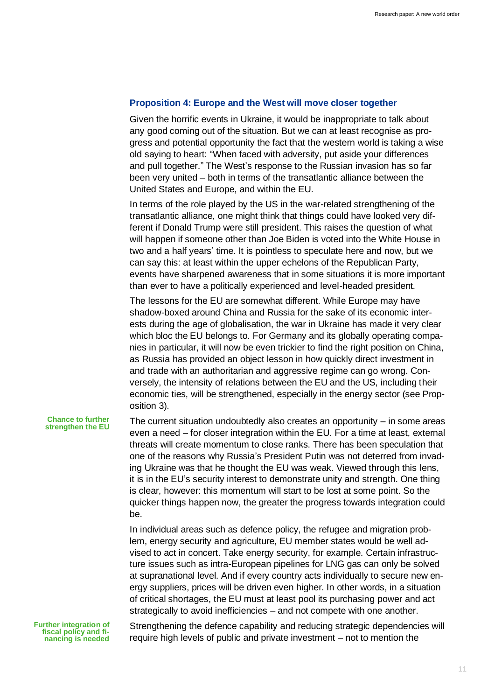### **Proposition 4: Europe and the West will move closer together**

Given the horrific events in Ukraine, it would be inappropriate to talk about any good coming out of the situation. But we can at least recognise as progress and potential opportunity the fact that the western world is taking a wise old saying to heart: "When faced with adversity, put aside your differences and pull together." The West's response to the Russian invasion has so far been very united – both in terms of the transatlantic alliance between the United States and Europe, and within the EU.

In terms of the role played by the US in the war-related strengthening of the transatlantic alliance, one might think that things could have looked very different if Donald Trump were still president. This raises the question of what will happen if someone other than Joe Biden is voted into the White House in two and a half years' time. It is pointless to speculate here and now, but we can say this: at least within the upper echelons of the Republican Party, events have sharpened awareness that in some situations it is more important than ever to have a politically experienced and level-headed president.

The lessons for the EU are somewhat different. While Europe may have shadow-boxed around China and Russia for the sake of its economic interests during the age of globalisation, the war in Ukraine has made it very clear which bloc the EU belongs to. For Germany and its globally operating companies in particular, it will now be even trickier to find the right position on China, as Russia has provided an object lesson in how quickly direct investment in and trade with an authoritarian and aggressive regime can go wrong. Conversely, the intensity of relations between the EU and the US, including their economic ties, will be strengthened, especially in the energy sector (see Proposition 3).

#### **Chance to further strengthen the EU**

The current situation undoubtedly also creates an opportunity  $-$  in some areas even a need – for closer integration within the EU. For a time at least, external threats will create momentum to close ranks. There has been speculation that one of the reasons why Russia's President Putin was not deterred from invading Ukraine was that he thought the EU was weak. Viewed through this lens, it is in the EU's security interest to demonstrate unity and strength. One thing is clear, however: this momentum will start to be lost at some point. So the quicker things happen now, the greater the progress towards integration could be.

In individual areas such as defence policy, the refugee and migration problem, energy security and agriculture, EU member states would be well advised to act in concert. Take energy security, for example. Certain infrastructure issues such as intra-European pipelines for LNG gas can only be solved at supranational level. And if every country acts individually to secure new energy suppliers, prices will be driven even higher. In other words, in a situation of critical shortages, the EU must at least pool its purchasing power and act strategically to avoid inefficiencies – and not compete with one another.

**Further integration of fiscal policy and financing is needed**

Strengthening the defence capability and reducing strategic dependencies will require high levels of public and private investment – not to mention the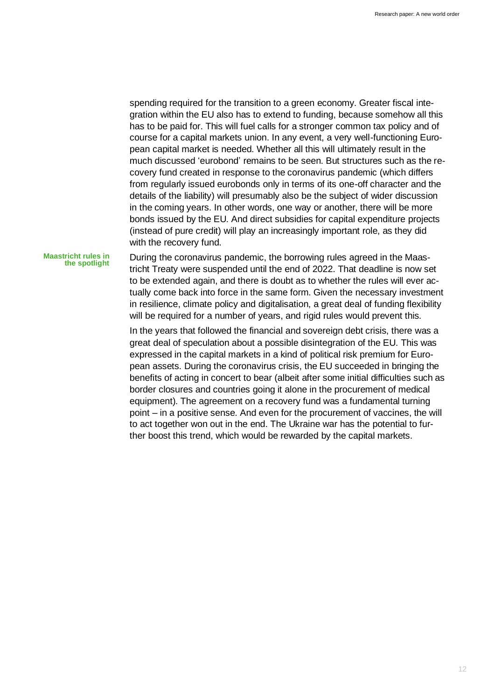spending required for the transition to a green economy. Greater fiscal integration within the EU also has to extend to funding, because somehow all this has to be paid for. This will fuel calls for a stronger common tax policy and of course for a capital markets union. In any event, a very well-functioning European capital market is needed. Whether all this will ultimately result in the much discussed 'eurobond' remains to be seen. But structures such as the recovery fund created in response to the coronavirus pandemic (which differs from regularly issued eurobonds only in terms of its one-off character and the details of the liability) will presumably also be the subject of wider discussion in the coming years. In other words, one way or another, there will be more bonds issued by the EU. And direct subsidies for capital expenditure projects (instead of pure credit) will play an increasingly important role, as they did with the recovery fund.

#### **Maastricht rules in the spotlight**

During the coronavirus pandemic, the borrowing rules agreed in the Maastricht Treaty were suspended until the end of 2022. That deadline is now set to be extended again, and there is doubt as to whether the rules will ever actually come back into force in the same form. Given the necessary investment in resilience, climate policy and digitalisation, a great deal of funding flexibility will be required for a number of years, and rigid rules would prevent this.

In the years that followed the financial and sovereign debt crisis, there was a great deal of speculation about a possible disintegration of the EU. This was expressed in the capital markets in a kind of political risk premium for European assets. During the coronavirus crisis, the EU succeeded in bringing the benefits of acting in concert to bear (albeit after some initial difficulties such as border closures and countries going it alone in the procurement of medical equipment). The agreement on a recovery fund was a fundamental turning point – in a positive sense. And even for the procurement of vaccines, the will to act together won out in the end. The Ukraine war has the potential to further boost this trend, which would be rewarded by the capital markets.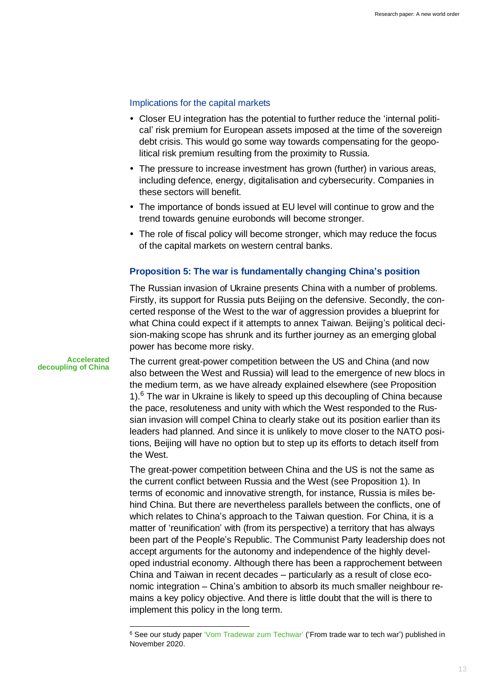### Implications for the capital markets

- Closer EU integration has the potential to further reduce the 'internal political' risk premium for European assets imposed at the time of the sovereign debt crisis. This would go some way towards compensating for the geopolitical risk premium resulting from the proximity to Russia.
- The pressure to increase investment has grown (further) in various areas, including defence, energy, digitalisation and cybersecurity. Companies in these sectors will benefit.
- The importance of bonds issued at EU level will continue to grow and the trend towards genuine eurobonds will become stronger.
- The role of fiscal policy will become stronger, which may reduce the focus of the capital markets on western central banks.

# **Proposition 5: The war is fundamentally changing China's position**

The Russian invasion of Ukraine presents China with a number of problems. Firstly, its support for Russia puts Beijing on the defensive. Secondly, the concerted response of the West to the war of aggression provides a blueprint for what China could expect if it attempts to annex Taiwan. Beijing's political decision-making scope has shrunk and its further journey as an emerging global power has become more risky.

**Accelerated decoupling of China**

The current great-power competition between the US and China (and now also between the West and Russia) will lead to the emergence of new blocs in the medium term, as we have already explained elsewhere (see Proposition 1).<sup>6</sup> The war in Ukraine is likely to speed up this decoupling of China because the pace, resoluteness and unity with which the West responded to the Russian invasion will compel China to clearly stake out its position earlier than its leaders had planned. And since it is unlikely to move closer to the NATO positions, Beijing will have no option but to step up its efforts to detach itself from the West.

The great-power competition between China and the US is not the same as the current conflict between Russia and the West (see Proposition 1). In terms of economic and innovative strength, for instance, Russia is miles behind China. But there are nevertheless parallels between the conflicts, one of which relates to China's approach to the Taiwan question. For China, it is a matter of 'reunification' with (from its perspective) a territory that has always been part of the People's Republic. The Communist Party leadership does not accept arguments for the autonomy and independence of the highly developed industrial economy. Although there has been a rapprochement between China and Taiwan in recent decades – particularly as a result of close economic integration – China's ambition to absorb its much smaller neighbour remains a key policy objective. And there is little doubt that the will is there to implement this policy in the long term.

<sup>6</sup> See our study pape[r 'Vom Tradewar zum Techwar'](https://institutional.union-investment.de/startseite-de/Kapitalmarkt/Themen_Vom_Tradewar_zum_Techwar.html) ('From trade war to tech war') published in November 2020.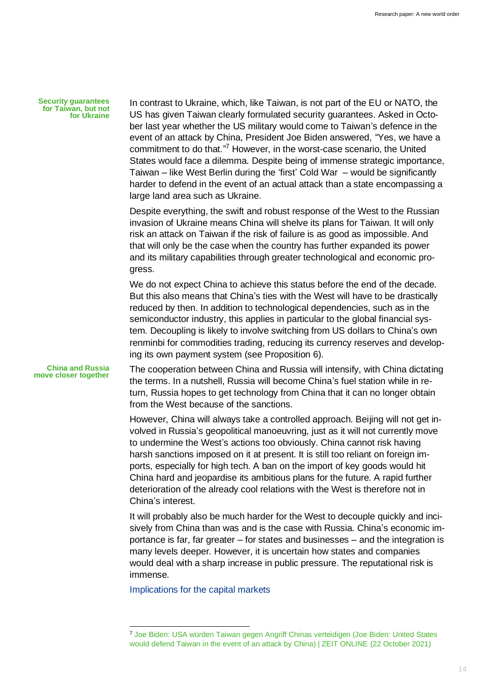**Security guarantees for Taiwan, but not for Ukraine**

In contrast to Ukraine, which, like Taiwan, is not part of the EU or NATO, the US has given Taiwan clearly formulated security guarantees. Asked in October last year whether the US military would come to Taiwan's defence in the event of an attack by China, President Joe Biden answered, "Yes, we have a commitment to do that." <sup>7</sup> However, in the worst-case scenario, the United States would face a dilemma. Despite being of immense strategic importance, Taiwan – like West Berlin during the 'first' Cold War – would be significantly harder to defend in the event of an actual attack than a state encompassing a large land area such as Ukraine.

Despite everything, the swift and robust response of the West to the Russian invasion of Ukraine means China will shelve its plans for Taiwan. It will only risk an attack on Taiwan if the risk of failure is as good as impossible. And that will only be the case when the country has further expanded its power and its military capabilities through greater technological and economic progress.

We do not expect China to achieve this status before the end of the decade. But this also means that China's ties with the West will have to be drastically reduced by then. In addition to technological dependencies, such as in the semiconductor industry, this applies in particular to the global financial system. Decoupling is likely to involve switching from US dollars to China's own renminbi for commodities trading, reducing its currency reserves and developing its own payment system (see Proposition 6).

**China and Russia move closer together**

The cooperation between China and Russia will intensify, with China dictating the terms. In a nutshell, Russia will become China's fuel station while in return, Russia hopes to get technology from China that it can no longer obtain from the West because of the sanctions.

However, China will always take a controlled approach. Beijing will not get involved in Russia's geopolitical manoeuvring, just as it will not currently move to undermine the West's actions too obviously. China cannot risk having harsh sanctions imposed on it at present. It is still too reliant on foreign imports, especially for high tech. A ban on the import of key goods would hit China hard and jeopardise its ambitious plans for the future. A rapid further deterioration of the already cool relations with the West is therefore not in China's interest.

It will probably also be much harder for the West to decouple quickly and incisively from China than was and is the case with Russia. China's economic importance is far, far greater – for states and businesses – and the integration is many levels deeper. However, it is uncertain how states and companies would deal with a sharp increase in public pressure. The reputational risk is immense.

Implications for the capital markets

<sup>7</sup> [Joe Biden: USA würden Taiwan gegen Angriff Chinas verteidigen \(Joe Biden: United States](https://www.zeit.de/politik/ausland/2021-10/usa-joe-biden-china-taiwan-cnn-townhall)  [would defend Taiwan in the event of an attack by China\) | ZEIT ONLINE](https://www.zeit.de/politik/ausland/2021-10/usa-joe-biden-china-taiwan-cnn-townhall) (22 October 2021)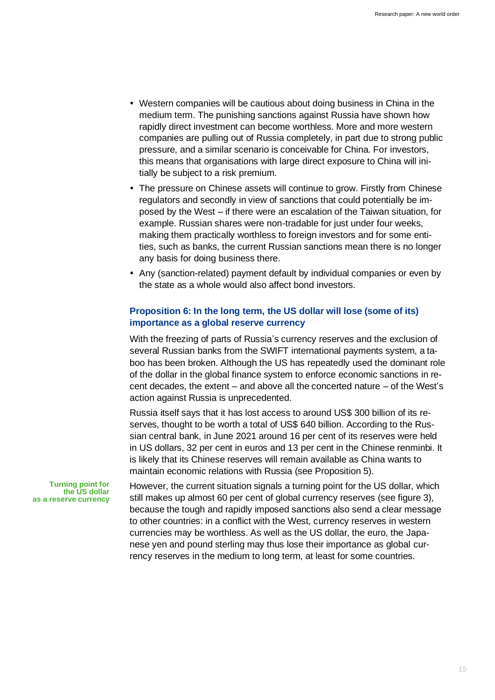- Western companies will be cautious about doing business in China in the medium term. The punishing sanctions against Russia have shown how rapidly direct investment can become worthless. More and more western companies are pulling out of Russia completely, in part due to strong public pressure, and a similar scenario is conceivable for China. For investors, this means that organisations with large direct exposure to China will initially be subject to a risk premium.
- The pressure on Chinese assets will continue to grow. Firstly from Chinese regulators and secondly in view of sanctions that could potentially be imposed by the West – if there were an escalation of the Taiwan situation, for example. Russian shares were non-tradable for just under four weeks, making them practically worthless to foreign investors and for some entities, such as banks, the current Russian sanctions mean there is no longer any basis for doing business there.
- Any (sanction-related) payment default by individual companies or even by the state as a whole would also affect bond investors.

# **Proposition 6: In the long term, the US dollar will lose (some of its) importance as a global reserve currency**

With the freezing of parts of Russia's currency reserves and the exclusion of several Russian banks from the SWIFT international payments system, a taboo has been broken. Although the US has repeatedly used the dominant role of the dollar in the global finance system to enforce economic sanctions in recent decades, the extent – and above all the concerted nature – of the West's action against Russia is unprecedented.

Russia itself says that it has lost access to around US\$ 300 billion of its reserves, thought to be worth a total of US\$ 640 billion. According to the Russian central bank, in June 2021 around 16 per cent of its reserves were held in US dollars, 32 per cent in euros and 13 per cent in the Chinese renminbi. It is likely that its Chinese reserves will remain available as China wants to maintain economic relations with Russia (see Proposition 5).

**Turning point for the US dollar as a reserve currency**

However, the current situation signals a turning point for the US dollar, which still makes up almost 60 per cent of global currency reserves (see figure 3), because the tough and rapidly imposed sanctions also send a clear message to other countries: in a conflict with the West, currency reserves in western currencies may be worthless. As well as the US dollar, the euro, the Japanese yen and pound sterling may thus lose their importance as global currency reserves in the medium to long term, at least for some countries.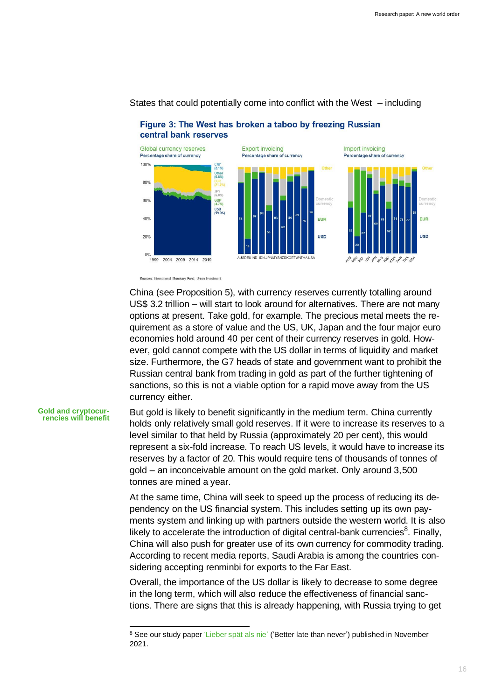

# States that could potentially come into conflict with the West – including

Figure 3: The West has broken a taboo by freezing Russian central bank reserves

Sources: International Monetary Fund, Union Investment

China (see Proposition 5), with currency reserves currently totalling around US\$ 3.2 trillion – will start to look around for alternatives. There are not many options at present. Take gold, for example. The precious metal meets the requirement as a store of value and the US, UK, Japan and the four major euro economies hold around 40 per cent of their currency reserves in gold. However, gold cannot compete with the US dollar in terms of liquidity and market size. Furthermore, the G7 heads of state and government want to prohibit the Russian central bank from trading in gold as part of the further tightening of sanctions, so this is not a viable option for a rapid move away from the US currency either.

#### **Gold and cryptocurrencies will benefit**

But gold is likely to benefit significantly in the medium term. China currently holds only relatively small gold reserves. If it were to increase its reserves to a level similar to that held by Russia (approximately 20 per cent), this would represent a six-fold increase. To reach US levels, it would have to increase its reserves by a factor of 20. This would require tens of thousands of tonnes of gold – an inconceivable amount on the gold market. Only around 3,500 tonnes are mined a year.

At the same time, China will seek to speed up the process of reducing its dependency on the US financial system. This includes setting up its own payments system and linking up with partners outside the western world. It is also likely to accelerate the introduction of digital central-bank currencies $^8$ . Finally, China will also push for greater use of its own currency for commodity trading. According to recent media reports, Saudi Arabia is among the countries considering accepting renminbi for exports to the Far East.

Overall, the importance of the US dollar is likely to decrease to some degree in the long term, which will also reduce the effectiveness of financial sanctions. There are signs that this is already happening, with Russia trying to get

<sup>&</sup>lt;sup>8</sup> See our study pape[r 'Lieber spät als nie'](https://institutional.union-investment.de/startseite-de/Kapitalmarkt/Themen_Lieber_spaet_als_nie) ('Better late than never') published in November 2021.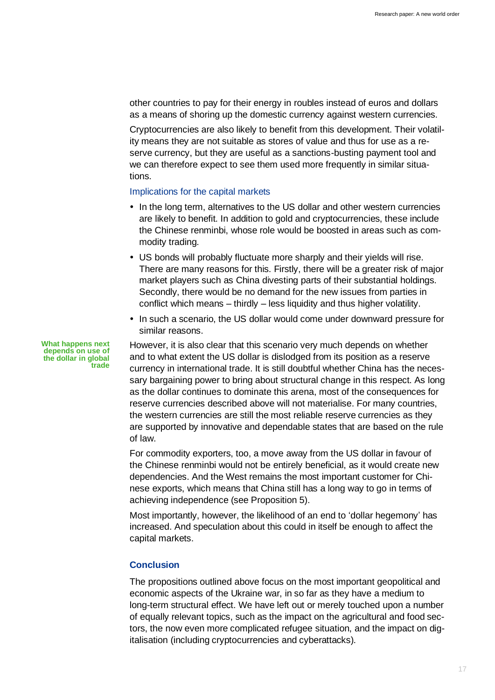other countries to pay for their energy in roubles instead of euros and dollars as a means of shoring up the domestic currency against western currencies.

Cryptocurrencies are also likely to benefit from this development. Their volatility means they are not suitable as stores of value and thus for use as a reserve currency, but they are useful as a sanctions-busting payment tool and we can therefore expect to see them used more frequently in similar situations.

### Implications for the capital markets

- In the long term, alternatives to the US dollar and other western currencies are likely to benefit. In addition to gold and cryptocurrencies, these include the Chinese renminbi, whose role would be boosted in areas such as commodity trading.
- US bonds will probably fluctuate more sharply and their yields will rise. There are many reasons for this. Firstly, there will be a greater risk of major market players such as China divesting parts of their substantial holdings. Secondly, there would be no demand for the new issues from parties in conflict which means – thirdly – less liquidity and thus higher volatility.
- In such a scenario, the US dollar would come under downward pressure for similar reasons.

However, it is also clear that this scenario very much depends on whether and to what extent the US dollar is dislodged from its position as a reserve currency in international trade. It is still doubtful whether China has the necessary bargaining power to bring about structural change in this respect. As long as the dollar continues to dominate this arena, most of the consequences for reserve currencies described above will not materialise. For many countries, the western currencies are still the most reliable reserve currencies as they are supported by innovative and dependable states that are based on the rule of law.

For commodity exporters, too, a move away from the US dollar in favour of the Chinese renminbi would not be entirely beneficial, as it would create new dependencies. And the West remains the most important customer for Chinese exports, which means that China still has a long way to go in terms of achieving independence (see Proposition 5).

Most importantly, however, the likelihood of an end to 'dollar hegemony' has increased. And speculation about this could in itself be enough to affect the capital markets.

# **Conclusion**

The propositions outlined above focus on the most important geopolitical and economic aspects of the Ukraine war, in so far as they have a medium to long-term structural effect. We have left out or merely touched upon a number of equally relevant topics, such as the impact on the agricultural and food sectors, the now even more complicated refugee situation, and the impact on digitalisation (including cryptocurrencies and cyberattacks).

**What happens next depends on use of the dollar in global trade**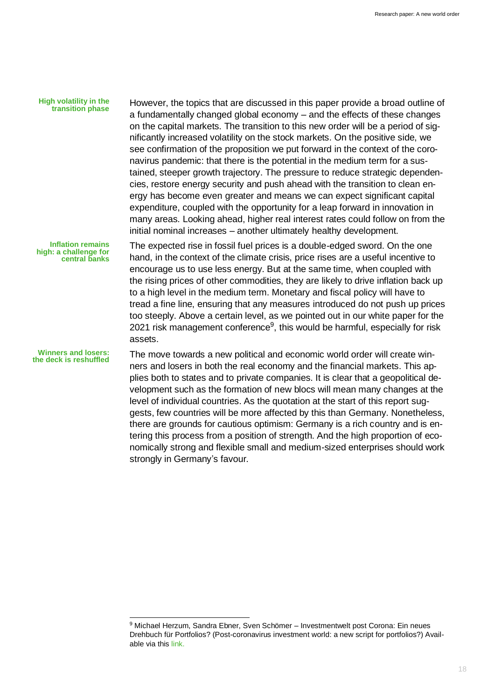#### **High volatility in the transition phase**

However, the topics that are discussed in this paper provide a broad outline of a fundamentally changed global economy – and the effects of these changes on the capital markets. The transition to this new order will be a period of significantly increased volatility on the stock markets. On the positive side, we see confirmation of the proposition we put forward in the context of the coronavirus pandemic: that there is the potential in the medium term for a sustained, steeper growth trajectory. The pressure to reduce strategic dependencies, restore energy security and push ahead with the transition to clean energy has become even greater and means we can expect significant capital expenditure, coupled with the opportunity for a leap forward in innovation in many areas. Looking ahead, higher real interest rates could follow on from the initial nominal increases – another ultimately healthy development.

**Inflation remains high: a challenge for central banks**

**Winners and losers: the deck is reshuffled**

The expected rise in fossil fuel prices is a double-edged sword. On the one hand, in the context of the climate crisis, price rises are a useful incentive to encourage us to use less energy. But at the same time, when coupled with the rising prices of other commodities, they are likely to drive inflation back up to a high level in the medium term. Monetary and fiscal policy will have to tread a fine line, ensuring that any measures introduced do not push up prices too steeply. Above a certain level, as we pointed out in our white paper for the 2021 risk management conference<sup>9</sup>, this would be harmful, especially for risk assets.

The move towards a new political and economic world order will create winners and losers in both the real economy and the financial markets. This applies both to states and to private companies. It is clear that a geopolitical development such as the formation of new blocs will mean many changes at the level of individual countries. As the quotation at the start of this report suggests, few countries will be more affected by this than Germany. Nonetheless, there are grounds for cautious optimism: Germany is a rich country and is entering this process from a position of strength. And the high proportion of economically strong and flexible small and medium-sized enterprises should work strongly in Germany's favour.

<sup>9</sup> Michael Herzum, Sandra Ebner, Sven Schömer – Investmentwelt post Corona: Ein neues Drehbuch für Portfolios? (Post-coronavirus investment world: a new script for portfolios?) Available via this [link.](https://institutional.union-investment.de/startseite-de/Kompetenzen/Risikomanagement/Risikomanagement-Konferenz.html)